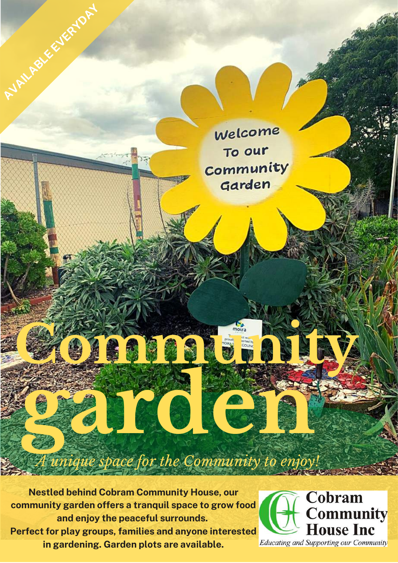**Nestled behind Cobram Community House, our community garden offers a tranquil space to grow food and enjoy the peaceful surrounds. Perfect for play groups, families and anyone interested in gardening. Garden plots are available.**

**ARILROLES** 

**garden**

**Community** 

Welcome

To our

Community

Garden

*A unique space for the Community to enjoy!*

Cobram **Community House Inc** Educating and Supporting our Community